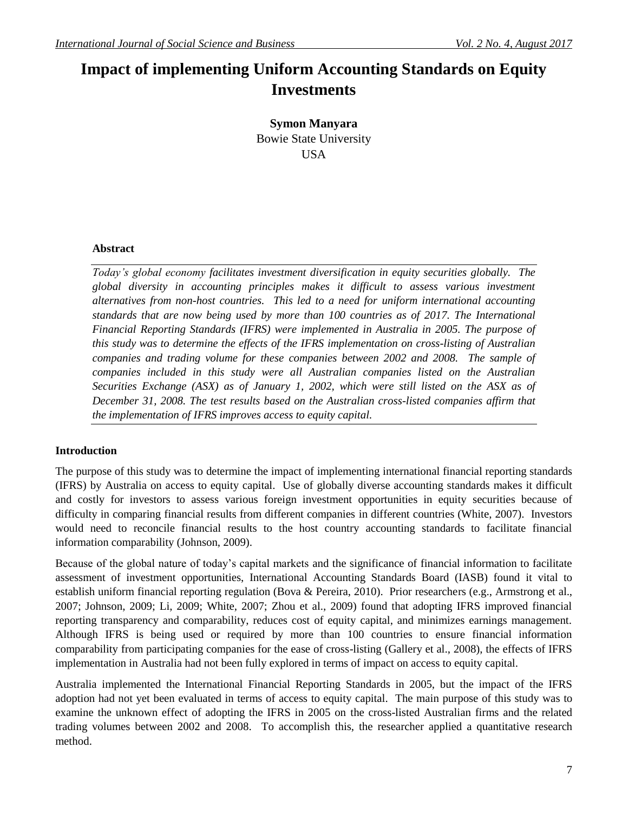# **Impact of implementing Uniform Accounting Standards on Equity Investments**

**Symon Manyara** Bowie State University USA

### **Abstract**

*Today's global economy facilitates investment diversification in equity securities globally. The global diversity in accounting principles makes it difficult to assess various investment alternatives from non-host countries. This led to a need for uniform international accounting standards that are now being used by more than 100 countries as of 2017. The International Financial Reporting Standards (IFRS) were implemented in Australia in 2005. The purpose of this study was to determine the effects of the IFRS implementation on cross-listing of Australian companies and trading volume for these companies between 2002 and 2008. The sample of companies included in this study were all Australian companies listed on the Australian Securities Exchange (ASX) as of January 1, 2002, which were still listed on the ASX as of December 31, 2008. The test results based on the Australian cross-listed companies affirm that the implementation of IFRS improves access to equity capital.*

## **Introduction**

The purpose of this study was to determine the impact of implementing international financial reporting standards (IFRS) by Australia on access to equity capital. Use of globally diverse accounting standards makes it difficult and costly for investors to assess various foreign investment opportunities in equity securities because of difficulty in comparing financial results from different companies in different countries (White, 2007). Investors would need to reconcile financial results to the host country accounting standards to facilitate financial information comparability (Johnson, 2009).

Because of the global nature of today's capital markets and the significance of financial information to facilitate assessment of investment opportunities, International Accounting Standards Board (IASB) found it vital to establish uniform financial reporting regulation (Bova & Pereira, 2010). Prior researchers (e.g., Armstrong et al., 2007; Johnson, 2009; Li, 2009; White, 2007; Zhou et al., 2009) found that adopting IFRS improved financial reporting transparency and comparability, reduces cost of equity capital, and minimizes earnings management. Although IFRS is being used or required by more than 100 countries to ensure financial information comparability from participating companies for the ease of cross-listing (Gallery et al., 2008), the effects of IFRS implementation in Australia had not been fully explored in terms of impact on access to equity capital.

Australia implemented the International Financial Reporting Standards in 2005, but the impact of the IFRS adoption had not yet been evaluated in terms of access to equity capital. The main purpose of this study was to examine the unknown effect of adopting the IFRS in 2005 on the cross-listed Australian firms and the related trading volumes between 2002 and 2008. To accomplish this, the researcher applied a quantitative research method.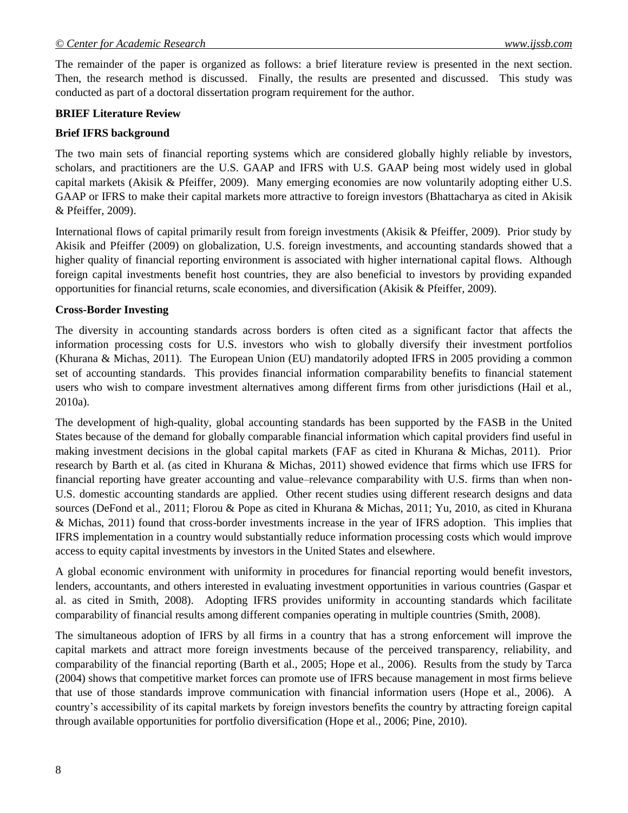The remainder of the paper is organized as follows: a brief literature review is presented in the next section. Then, the research method is discussed. Finally, the results are presented and discussed. This study was conducted as part of a doctoral dissertation program requirement for the author.

#### **BRIEF Literature Review**

#### **Brief IFRS background**

The two main sets of financial reporting systems which are considered globally highly reliable by investors, scholars, and practitioners are the U.S. GAAP and IFRS with U.S. GAAP being most widely used in global capital markets (Akisik & Pfeiffer, 2009). Many emerging economies are now voluntarily adopting either U.S. GAAP or IFRS to make their capital markets more attractive to foreign investors (Bhattacharya as cited in Akisik & Pfeiffer, 2009).

International flows of capital primarily result from foreign investments (Akisik & Pfeiffer, 2009). Prior study by Akisik and Pfeiffer (2009) on globalization, U.S. foreign investments, and accounting standards showed that a higher quality of financial reporting environment is associated with higher international capital flows. Although foreign capital investments benefit host countries, they are also beneficial to investors by providing expanded opportunities for financial returns, scale economies, and diversification (Akisik & Pfeiffer, 2009).

#### **Cross-Border Investing**

The diversity in accounting standards across borders is often cited as a significant factor that affects the information processing costs for U.S. investors who wish to globally diversify their investment portfolios (Khurana & Michas, 2011). The European Union (EU) mandatorily adopted IFRS in 2005 providing a common set of accounting standards. This provides financial information comparability benefits to financial statement users who wish to compare investment alternatives among different firms from other jurisdictions (Hail et al., 2010a).

The development of high-quality, global accounting standards has been supported by the FASB in the United States because of the demand for globally comparable financial information which capital providers find useful in making investment decisions in the global capital markets (FAF as cited in Khurana & Michas, 2011). Prior research by Barth et al. (as cited in Khurana & Michas, 2011) showed evidence that firms which use IFRS for financial reporting have greater accounting and value–relevance comparability with U.S. firms than when non-U.S. domestic accounting standards are applied. Other recent studies using different research designs and data sources (DeFond et al., 2011; Florou & Pope as cited in Khurana & Michas, 2011; Yu, 2010, as cited in Khurana & Michas, 2011) found that cross-border investments increase in the year of IFRS adoption. This implies that IFRS implementation in a country would substantially reduce information processing costs which would improve access to equity capital investments by investors in the United States and elsewhere.

A global economic environment with uniformity in procedures for financial reporting would benefit investors, lenders, accountants, and others interested in evaluating investment opportunities in various countries (Gaspar et al. as cited in Smith, 2008). Adopting IFRS provides uniformity in accounting standards which facilitate comparability of financial results among different companies operating in multiple countries (Smith, 2008).

The simultaneous adoption of IFRS by all firms in a country that has a strong enforcement will improve the capital markets and attract more foreign investments because of the perceived transparency, reliability, and comparability of the financial reporting (Barth et al., 2005; Hope et al., 2006). Results from the study by Tarca (2004) shows that competitive market forces can promote use of IFRS because management in most firms believe that use of those standards improve communication with financial information users (Hope et al., 2006). A country's accessibility of its capital markets by foreign investors benefits the country by attracting foreign capital through available opportunities for portfolio diversification (Hope et al., 2006; Pine, 2010).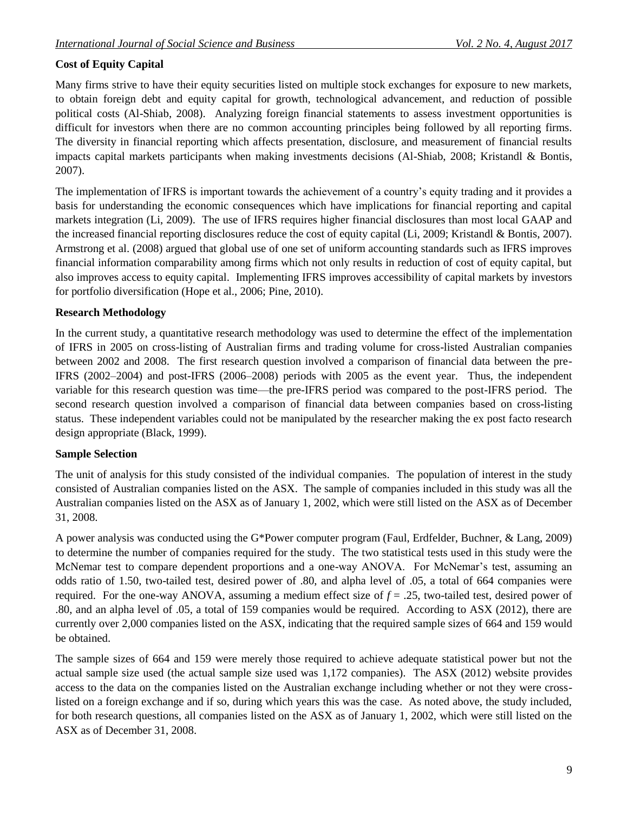# **Cost of Equity Capital**

Many firms strive to have their equity securities listed on multiple stock exchanges for exposure to new markets, to obtain foreign debt and equity capital for growth, technological advancement, and reduction of possible political costs (Al-Shiab, 2008). Analyzing foreign financial statements to assess investment opportunities is difficult for investors when there are no common accounting principles being followed by all reporting firms. The diversity in financial reporting which affects presentation, disclosure, and measurement of financial results impacts capital markets participants when making investments decisions (Al-Shiab, 2008; Kristandl & Bontis, 2007).

The implementation of IFRS is important towards the achievement of a country's equity trading and it provides a basis for understanding the economic consequences which have implications for financial reporting and capital markets integration (Li, 2009). The use of IFRS requires higher financial disclosures than most local GAAP and the increased financial reporting disclosures reduce the cost of equity capital (Li, 2009; Kristandl & Bontis, 2007). Armstrong et al. (2008) argued that global use of one set of uniform accounting standards such as IFRS improves financial information comparability among firms which not only results in reduction of cost of equity capital, but also improves access to equity capital. Implementing IFRS improves accessibility of capital markets by investors for portfolio diversification (Hope et al., 2006; Pine, 2010).

## **Research Methodology**

In the current study, a quantitative research methodology was used to determine the effect of the implementation of IFRS in 2005 on cross-listing of Australian firms and trading volume for cross-listed Australian companies between 2002 and 2008. The first research question involved a comparison of financial data between the pre-IFRS (2002–2004) and post-IFRS (2006–2008) periods with 2005 as the event year. Thus, the independent variable for this research question was time—the pre-IFRS period was compared to the post-IFRS period. The second research question involved a comparison of financial data between companies based on cross-listing status. These independent variables could not be manipulated by the researcher making the ex post facto research design appropriate (Black, 1999).

## **Sample Selection**

The unit of analysis for this study consisted of the individual companies. The population of interest in the study consisted of Australian companies listed on the ASX. The sample of companies included in this study was all the Australian companies listed on the ASX as of January 1, 2002, which were still listed on the ASX as of December 31, 2008.

A power analysis was conducted using the G\*Power computer program (Faul, Erdfelder, Buchner, & Lang, 2009) to determine the number of companies required for the study. The two statistical tests used in this study were the McNemar test to compare dependent proportions and a one-way ANOVA. For McNemar's test, assuming an odds ratio of 1.50, two-tailed test, desired power of .80, and alpha level of .05, a total of 664 companies were required. For the one-way ANOVA, assuming a medium effect size of *f* = .25, two-tailed test, desired power of .80, and an alpha level of .05, a total of 159 companies would be required. According to ASX (2012), there are currently over 2,000 companies listed on the ASX, indicating that the required sample sizes of 664 and 159 would be obtained.

The sample sizes of 664 and 159 were merely those required to achieve adequate statistical power but not the actual sample size used (the actual sample size used was 1,172 companies). The ASX (2012) website provides access to the data on the companies listed on the Australian exchange including whether or not they were crosslisted on a foreign exchange and if so, during which years this was the case. As noted above, the study included, for both research questions, all companies listed on the ASX as of January 1, 2002, which were still listed on the ASX as of December 31, 2008.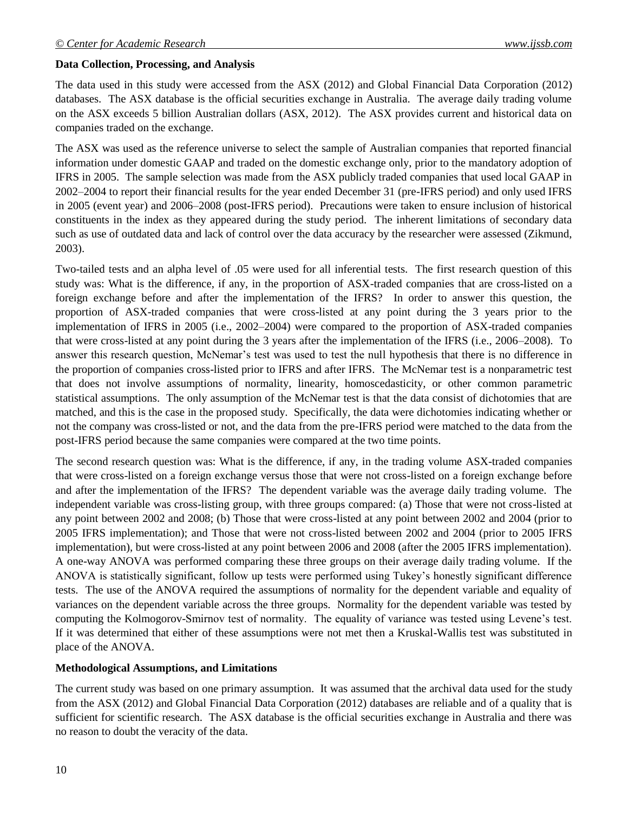### **Data Collection, Processing, and Analysis**

The data used in this study were accessed from the ASX (2012) and Global Financial Data Corporation (2012) databases. The ASX database is the official securities exchange in Australia. The average daily trading volume on the ASX exceeds 5 billion Australian dollars (ASX, 2012). The ASX provides current and historical data on companies traded on the exchange.

The ASX was used as the reference universe to select the sample of Australian companies that reported financial information under domestic GAAP and traded on the domestic exchange only, prior to the mandatory adoption of IFRS in 2005. The sample selection was made from the ASX publicly traded companies that used local GAAP in 2002–2004 to report their financial results for the year ended December 31 (pre-IFRS period) and only used IFRS in 2005 (event year) and 2006–2008 (post-IFRS period). Precautions were taken to ensure inclusion of historical constituents in the index as they appeared during the study period. The inherent limitations of secondary data such as use of outdated data and lack of control over the data accuracy by the researcher were assessed (Zikmund, 2003).

Two-tailed tests and an alpha level of .05 were used for all inferential tests. The first research question of this study was: What is the difference, if any, in the proportion of ASX-traded companies that are cross-listed on a foreign exchange before and after the implementation of the IFRS? In order to answer this question, the proportion of ASX-traded companies that were cross-listed at any point during the 3 years prior to the implementation of IFRS in 2005 (i.e., 2002–2004) were compared to the proportion of ASX-traded companies that were cross-listed at any point during the 3 years after the implementation of the IFRS (i.e., 2006–2008). To answer this research question, McNemar's test was used to test the null hypothesis that there is no difference in the proportion of companies cross-listed prior to IFRS and after IFRS. The McNemar test is a nonparametric test that does not involve assumptions of normality, linearity, homoscedasticity, or other common parametric statistical assumptions. The only assumption of the McNemar test is that the data consist of dichotomies that are matched, and this is the case in the proposed study. Specifically, the data were dichotomies indicating whether or not the company was cross-listed or not, and the data from the pre-IFRS period were matched to the data from the post-IFRS period because the same companies were compared at the two time points.

The second research question was: What is the difference, if any, in the trading volume ASX-traded companies that were cross-listed on a foreign exchange versus those that were not cross-listed on a foreign exchange before and after the implementation of the IFRS? The dependent variable was the average daily trading volume. The independent variable was cross-listing group, with three groups compared: (a) Those that were not cross-listed at any point between 2002 and 2008; (b) Those that were cross-listed at any point between 2002 and 2004 (prior to 2005 IFRS implementation); and Those that were not cross-listed between 2002 and 2004 (prior to 2005 IFRS implementation), but were cross-listed at any point between 2006 and 2008 (after the 2005 IFRS implementation). A one-way ANOVA was performed comparing these three groups on their average daily trading volume. If the ANOVA is statistically significant, follow up tests were performed using Tukey's honestly significant difference tests. The use of the ANOVA required the assumptions of normality for the dependent variable and equality of variances on the dependent variable across the three groups. Normality for the dependent variable was tested by computing the Kolmogorov-Smirnov test of normality. The equality of variance was tested using Levene's test. If it was determined that either of these assumptions were not met then a Kruskal-Wallis test was substituted in place of the ANOVA.

#### **Methodological Assumptions, and Limitations**

The current study was based on one primary assumption. It was assumed that the archival data used for the study from the ASX (2012) and Global Financial Data Corporation (2012) databases are reliable and of a quality that is sufficient for scientific research. The ASX database is the official securities exchange in Australia and there was no reason to doubt the veracity of the data.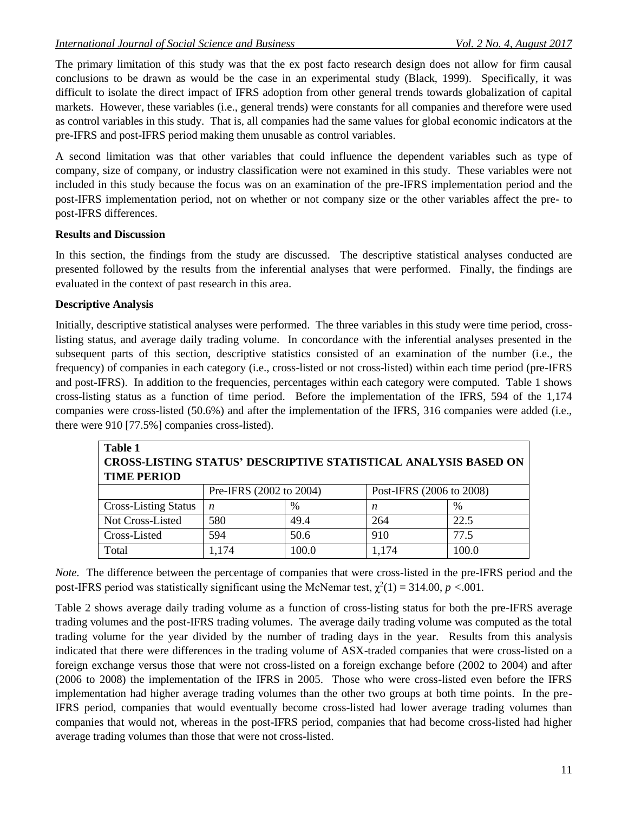The primary limitation of this study was that the ex post facto research design does not allow for firm causal conclusions to be drawn as would be the case in an experimental study (Black, 1999). Specifically, it was difficult to isolate the direct impact of IFRS adoption from other general trends towards globalization of capital markets. However, these variables (i.e., general trends) were constants for all companies and therefore were used as control variables in this study. That is, all companies had the same values for global economic indicators at the pre-IFRS and post-IFRS period making them unusable as control variables.

A second limitation was that other variables that could influence the dependent variables such as type of company, size of company, or industry classification were not examined in this study. These variables were not included in this study because the focus was on an examination of the pre-IFRS implementation period and the post-IFRS implementation period, not on whether or not company size or the other variables affect the pre- to post-IFRS differences.

## **Results and Discussion**

In this section, the findings from the study are discussed. The descriptive statistical analyses conducted are presented followed by the results from the inferential analyses that were performed. Finally, the findings are evaluated in the context of past research in this area.

## **Descriptive Analysis**

Initially, descriptive statistical analyses were performed. The three variables in this study were time period, crosslisting status, and average daily trading volume. In concordance with the inferential analyses presented in the subsequent parts of this section, descriptive statistics consisted of an examination of the number (i.e., the frequency) of companies in each category (i.e., cross-listed or not cross-listed) within each time period (pre-IFRS and post-IFRS). In addition to the frequencies, percentages within each category were computed. Table 1 shows cross-listing status as a function of time period. Before the implementation of the IFRS, 594 of the 1,174 companies were cross-listed (50.6%) and after the implementation of the IFRS, 316 companies were added (i.e., there were 910 [77.5%] companies cross-listed).

| Table 1                                                                |                         |               |                          |               |  |  |  |  |  |
|------------------------------------------------------------------------|-------------------------|---------------|--------------------------|---------------|--|--|--|--|--|
| <b>CROSS-LISTING STATUS' DESCRIPTIVE STATISTICAL ANALYSIS BASED ON</b> |                         |               |                          |               |  |  |  |  |  |
| <b>TIME PERIOD</b>                                                     |                         |               |                          |               |  |  |  |  |  |
|                                                                        | Pre-IFRS (2002 to 2004) |               | Post-IFRS (2006 to 2008) |               |  |  |  |  |  |
| <b>Cross-Listing Status</b>                                            | n                       | $\frac{0}{0}$ | n                        | $\frac{0}{0}$ |  |  |  |  |  |
| Not Cross-Listed                                                       | 580                     | 49.4          | 264                      | 22.5          |  |  |  |  |  |
| Cross-Listed                                                           | 594                     | 50.6          | 910                      | 77.5          |  |  |  |  |  |
| Total                                                                  | 1,174                   | 100.0         | 1,174                    | 100.0         |  |  |  |  |  |

*Note.* The difference between the percentage of companies that were cross-listed in the pre-IFRS period and the post-IFRS period was statistically significant using the McNemar test,  $\chi^2(1) = 314.00$ ,  $p < .001$ .

Table 2 shows average daily trading volume as a function of cross-listing status for both the pre-IFRS average trading volumes and the post-IFRS trading volumes. The average daily trading volume was computed as the total trading volume for the year divided by the number of trading days in the year. Results from this analysis indicated that there were differences in the trading volume of ASX-traded companies that were cross-listed on a foreign exchange versus those that were not cross-listed on a foreign exchange before (2002 to 2004) and after (2006 to 2008) the implementation of the IFRS in 2005. Those who were cross-listed even before the IFRS implementation had higher average trading volumes than the other two groups at both time points. In the pre-IFRS period, companies that would eventually become cross-listed had lower average trading volumes than companies that would not, whereas in the post-IFRS period, companies that had become cross-listed had higher average trading volumes than those that were not cross-listed.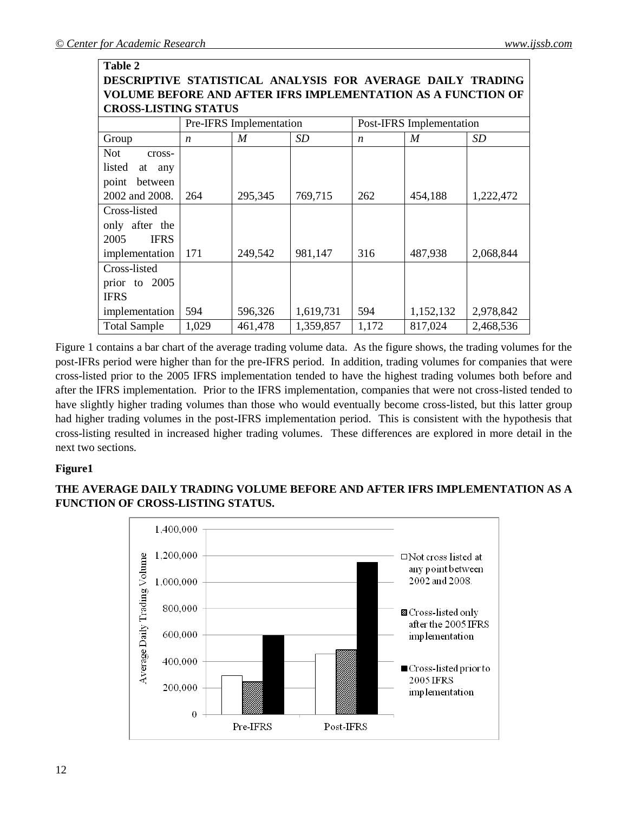**Table 2**

| DESCRIPTIVE STATISTICAL ANALYSIS FOR AVERAGE DAILY TRADING   |                         |         |           |                          |           |           |  |  |  |  |
|--------------------------------------------------------------|-------------------------|---------|-----------|--------------------------|-----------|-----------|--|--|--|--|
| VOLUME BEFORE AND AFTER IFRS IMPLEMENTATION AS A FUNCTION OF |                         |         |           |                          |           |           |  |  |  |  |
| <b>CROSS-LISTING STATUS</b>                                  |                         |         |           |                          |           |           |  |  |  |  |
|                                                              | Pre-IFRS Implementation |         |           | Post-IFRS Implementation |           |           |  |  |  |  |
| Group                                                        | $\boldsymbol{n}$        | M       | SD        | $\boldsymbol{n}$         | M         | SD        |  |  |  |  |
| <b>Not</b><br>cross-                                         |                         |         |           |                          |           |           |  |  |  |  |
| listed<br>at any                                             |                         |         |           |                          |           |           |  |  |  |  |
| between<br>point                                             |                         |         |           |                          |           |           |  |  |  |  |
| 2002 and 2008.                                               | 264                     | 295,345 | 769,715   | 262                      | 454,188   | 1,222,472 |  |  |  |  |
| Cross-listed                                                 |                         |         |           |                          |           |           |  |  |  |  |
| only after the                                               |                         |         |           |                          |           |           |  |  |  |  |
| <b>IFRS</b><br>2005                                          |                         |         |           |                          |           |           |  |  |  |  |
| implementation                                               | 171                     | 249,542 | 981,147   | 316                      | 487,938   | 2,068,844 |  |  |  |  |
| Cross-listed                                                 |                         |         |           |                          |           |           |  |  |  |  |
| prior to 2005                                                |                         |         |           |                          |           |           |  |  |  |  |
| <b>IFRS</b>                                                  |                         |         |           |                          |           |           |  |  |  |  |
| implementation                                               | 594                     | 596,326 | 1,619,731 | 594                      | 1,152,132 | 2,978,842 |  |  |  |  |
| <b>Total Sample</b>                                          | 1,029                   | 461,478 | 1,359,857 | 1,172                    | 817,024   | 2,468,536 |  |  |  |  |

Figure 1 contains a bar chart of the average trading volume data. As the figure shows, the trading volumes for the post-IFRs period were higher than for the pre-IFRS period. In addition, trading volumes for companies that were cross-listed prior to the 2005 IFRS implementation tended to have the highest trading volumes both before and after the IFRS implementation. Prior to the IFRS implementation, companies that were not cross-listed tended to have slightly higher trading volumes than those who would eventually become cross-listed, but this latter group had higher trading volumes in the post-IFRS implementation period. This is consistent with the hypothesis that cross-listing resulted in increased higher trading volumes. These differences are explored in more detail in the next two sections.

## **Figure1**

# **THE AVERAGE DAILY TRADING VOLUME BEFORE AND AFTER IFRS IMPLEMENTATION AS A FUNCTION OF CROSS-LISTING STATUS.**

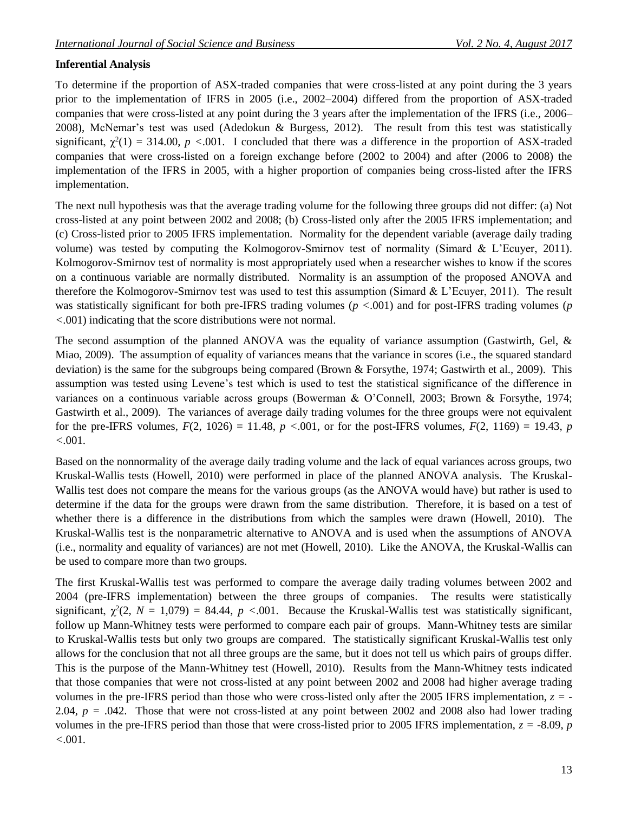# **Inferential Analysis**

To determine if the proportion of ASX-traded companies that were cross-listed at any point during the 3 years prior to the implementation of IFRS in 2005 (i.e., 2002–2004) differed from the proportion of ASX-traded companies that were cross-listed at any point during the 3 years after the implementation of the IFRS (i.e., 2006– 2008), McNemar's test was used (Adedokun & Burgess, 2012). The result from this test was statistically significant,  $\chi^2(1) = 314.00$ ,  $p < .001$ . I concluded that there was a difference in the proportion of ASX-traded companies that were cross-listed on a foreign exchange before (2002 to 2004) and after (2006 to 2008) the implementation of the IFRS in 2005, with a higher proportion of companies being cross-listed after the IFRS implementation.

The next null hypothesis was that the average trading volume for the following three groups did not differ: (a) Not cross-listed at any point between 2002 and 2008; (b) Cross-listed only after the 2005 IFRS implementation; and (c) Cross-listed prior to 2005 IFRS implementation. Normality for the dependent variable (average daily trading volume) was tested by computing the Kolmogorov-Smirnov test of normality (Simard & L'Ecuyer, 2011). Kolmogorov-Smirnov test of normality is most appropriately used when a researcher wishes to know if the scores on a continuous variable are normally distributed. Normality is an assumption of the proposed ANOVA and therefore the Kolmogorov-Smirnov test was used to test this assumption (Simard & L'Ecuyer, 2011). The result was statistically significant for both pre-IFRS trading volumes (*p <*.001) and for post-IFRS trading volumes (*p <*.001) indicating that the score distributions were not normal.

The second assumption of the planned ANOVA was the equality of variance assumption (Gastwirth, Gel, & Miao, 2009). The assumption of equality of variances means that the variance in scores (i.e., the squared standard deviation) is the same for the subgroups being compared (Brown & Forsythe, 1974; Gastwirth et al., 2009). This assumption was tested using Levene's test which is used to test the statistical significance of the difference in variances on a continuous variable across groups (Bowerman & O'Connell, 2003; Brown & Forsythe, 1974; Gastwirth et al., 2009). The variances of average daily trading volumes for the three groups were not equivalent for the pre-IFRS volumes,  $F(2, 1026) = 11.48$ ,  $p < .001$ , or for the post-IFRS volumes,  $F(2, 1169) = 19.43$ ,  $p$ *<*.001.

Based on the nonnormality of the average daily trading volume and the lack of equal variances across groups, two Kruskal-Wallis tests (Howell, 2010) were performed in place of the planned ANOVA analysis. The Kruskal-Wallis test does not compare the means for the various groups (as the ANOVA would have) but rather is used to determine if the data for the groups were drawn from the same distribution. Therefore, it is based on a test of whether there is a difference in the distributions from which the samples were drawn (Howell, 2010). The Kruskal-Wallis test is the nonparametric alternative to ANOVA and is used when the assumptions of ANOVA (i.e., normality and equality of variances) are not met (Howell, 2010). Like the ANOVA, the Kruskal-Wallis can be used to compare more than two groups.

The first Kruskal-Wallis test was performed to compare the average daily trading volumes between 2002 and 2004 (pre-IFRS implementation) between the three groups of companies. The results were statistically significant,  $\chi^2(2, N = 1,079) = 84.44$ ,  $p < .001$ . Because the Kruskal-Wallis test was statistically significant, follow up Mann-Whitney tests were performed to compare each pair of groups. Mann-Whitney tests are similar to Kruskal-Wallis tests but only two groups are compared. The statistically significant Kruskal-Wallis test only allows for the conclusion that not all three groups are the same, but it does not tell us which pairs of groups differ. This is the purpose of the Mann-Whitney test (Howell, 2010). Results from the Mann-Whitney tests indicated that those companies that were not cross-listed at any point between 2002 and 2008 had higher average trading volumes in the pre-IFRS period than those who were cross-listed only after the 2005 IFRS implementation, *z =* - 2.04, *p =* .042. Those that were not cross-listed at any point between 2002 and 2008 also had lower trading volumes in the pre-IFRS period than those that were cross-listed prior to 2005 IFRS implementation,  $z = -8.09$ , *p <*.001.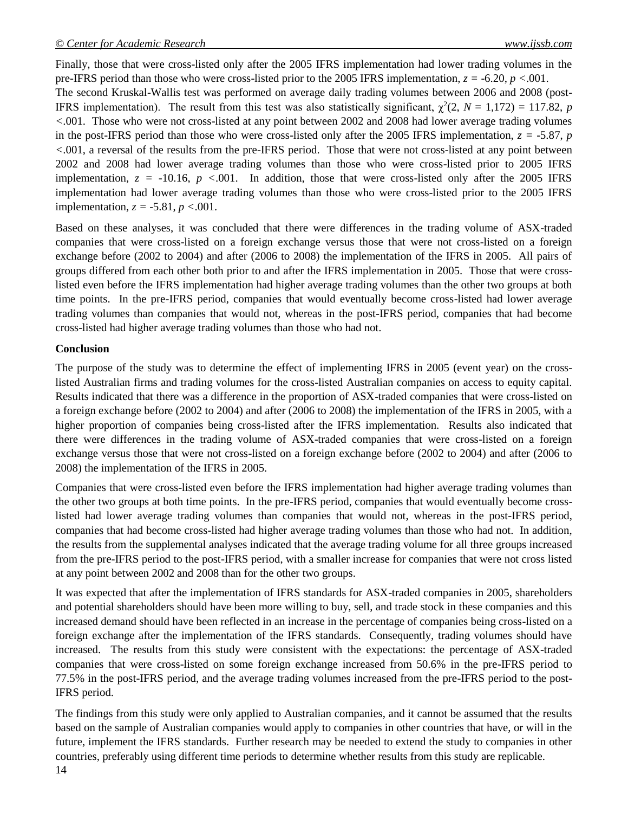Finally, those that were cross-listed only after the 2005 IFRS implementation had lower trading volumes in the pre-IFRS period than those who were cross-listed prior to the 2005 IFRS implementation, *z =* -6.20, *p <*.001. The second Kruskal-Wallis test was performed on average daily trading volumes between 2006 and 2008 (post-IFRS implementation). The result from this test was also statistically significant,  $\chi^2(2, N = 1,172) = 117.82$ , *p <*.001. Those who were not cross-listed at any point between 2002 and 2008 had lower average trading volumes in the post-IFRS period than those who were cross-listed only after the 2005 IFRS implementation,  $z = -5.87$ , *p <*.001, a reversal of the results from the pre-IFRS period. Those that were not cross-listed at any point between 2002 and 2008 had lower average trading volumes than those who were cross-listed prior to 2005 IFRS implementation,  $z = -10.16$ ,  $p < .001$ . In addition, those that were cross-listed only after the 2005 IFRS implementation had lower average trading volumes than those who were cross-listed prior to the 2005 IFRS implementation, *z =* -5.81, *p <*.001.

Based on these analyses, it was concluded that there were differences in the trading volume of ASX-traded companies that were cross-listed on a foreign exchange versus those that were not cross-listed on a foreign exchange before (2002 to 2004) and after (2006 to 2008) the implementation of the IFRS in 2005. All pairs of groups differed from each other both prior to and after the IFRS implementation in 2005. Those that were crosslisted even before the IFRS implementation had higher average trading volumes than the other two groups at both time points. In the pre-IFRS period, companies that would eventually become cross-listed had lower average trading volumes than companies that would not, whereas in the post-IFRS period, companies that had become cross-listed had higher average trading volumes than those who had not.

### **Conclusion**

The purpose of the study was to determine the effect of implementing IFRS in 2005 (event year) on the crosslisted Australian firms and trading volumes for the cross-listed Australian companies on access to equity capital. Results indicated that there was a difference in the proportion of ASX-traded companies that were cross-listed on a foreign exchange before (2002 to 2004) and after (2006 to 2008) the implementation of the IFRS in 2005, with a higher proportion of companies being cross-listed after the IFRS implementation. Results also indicated that there were differences in the trading volume of ASX-traded companies that were cross-listed on a foreign exchange versus those that were not cross-listed on a foreign exchange before (2002 to 2004) and after (2006 to 2008) the implementation of the IFRS in 2005.

Companies that were cross-listed even before the IFRS implementation had higher average trading volumes than the other two groups at both time points. In the pre-IFRS period, companies that would eventually become crosslisted had lower average trading volumes than companies that would not, whereas in the post-IFRS period, companies that had become cross-listed had higher average trading volumes than those who had not. In addition, the results from the supplemental analyses indicated that the average trading volume for all three groups increased from the pre-IFRS period to the post-IFRS period, with a smaller increase for companies that were not cross listed at any point between 2002 and 2008 than for the other two groups.

It was expected that after the implementation of IFRS standards for ASX-traded companies in 2005, shareholders and potential shareholders should have been more willing to buy, sell, and trade stock in these companies and this increased demand should have been reflected in an increase in the percentage of companies being cross-listed on a foreign exchange after the implementation of the IFRS standards. Consequently, trading volumes should have increased. The results from this study were consistent with the expectations: the percentage of ASX-traded companies that were cross-listed on some foreign exchange increased from 50.6% in the pre-IFRS period to 77.5% in the post-IFRS period, and the average trading volumes increased from the pre-IFRS period to the post-IFRS period.

The findings from this study were only applied to Australian companies, and it cannot be assumed that the results based on the sample of Australian companies would apply to companies in other countries that have, or will in the future, implement the IFRS standards. Further research may be needed to extend the study to companies in other countries, preferably using different time periods to determine whether results from this study are replicable.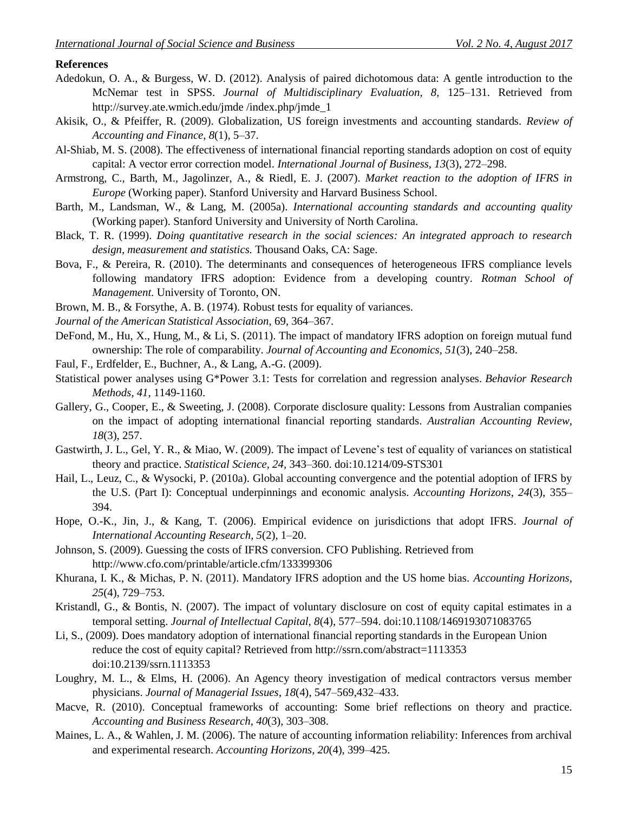#### **References**

- Adedokun, O. A., & Burgess, W. D. (2012). Analysis of paired dichotomous data: A gentle introduction to the McNemar test in SPSS. *Journal of Multidisciplinary Evaluation, 8,* 125–131. Retrieved from http://survey.ate.wmich.edu/jmde /index.php/jmde\_1
- Akisik, O., & Pfeiffer, R. (2009). Globalization, US foreign investments and accounting standards. *Review of Accounting and Finance, 8*(1), 5–37.
- Al-Shiab, M. S. (2008). The effectiveness of international financial reporting standards adoption on cost of equity capital: A vector error correction model. *International Journal of Business, 13*(3), 272–298.
- Armstrong, C., Barth, M., Jagolinzer, A., & Riedl, E. J. (2007). *Market reaction to the adoption of IFRS in Europe* (Working paper). Stanford University and Harvard Business School.
- Barth, M., Landsman, W., & Lang, M. (2005a). *International accounting standards and accounting quality* (Working paper). Stanford University and University of North Carolina.
- Black, T. R. (1999). *Doing quantitative research in the social sciences: An integrated approach to research design, measurement and statistics.* Thousand Oaks, CA: Sage.
- Bova, F., & Pereira, R. (2010). The determinants and consequences of heterogeneous IFRS compliance levels following mandatory IFRS adoption: Evidence from a developing country. *Rotman School of Management.* University of Toronto, ON.
- Brown, M. B., & Forsythe, A. B. (1974). Robust tests for equality of variances*.*
- *Journal of the American Statistical Association*, 69, 364–367.
- DeFond, M., Hu, X., Hung, M., & Li, S. (2011). The impact of mandatory IFRS adoption on foreign mutual fund ownership: The role of comparability. *Journal of Accounting and Economics, 51*(3), 240–258.
- Faul, F., Erdfelder, E., Buchner, A., & Lang, A.-G. (2009).
- Statistical power analyses using G\*Power 3.1: Tests for correlation and regression analyses. *Behavior Research Methods*, *41*, 1149-1160.
- Gallery, G., Cooper, E., & Sweeting, J. (2008). Corporate disclosure quality: Lessons from Australian companies on the impact of adopting international financial reporting standards. *Australian Accounting Review, 18*(3), 257.
- Gastwirth, J. L., Gel, Y. R., & Miao, W. (2009). [The impact of Levene's test of equality of variances on statistical](http://umt.summon.serialssolutions.com/link/0/eLvHCXMwRd09DgJBCAXgKSxttfYCkzgwP0xt3HgAPQA7wP2P4Isx2ZYQSvLRPFK6VYOCgTZqVNHQI3hpI-tsPuIX6HMEuJ6P5bVd0md7vh-v_P8DkBVamNklFhFGjKVhQV6Kt7GLoTDYmUAcmaEdPfdqMkvbpbAR7N8VALqmE25p_wIQiCW8)  [theory and practice.](http://umt.summon.serialssolutions.com/link/0/eLvHCXMwRd09DgJBCAXgKSxttfYCkzgwP0xt3HgAPQA7wP2P4Isx2ZYQSvLRPFK6VYOCgTZqVNHQI3hpI-tsPuIX6HMEuJ6P5bVd0md7vh-v_P8DkBVamNklFhFGjKVhQV6Kt7GLoTDYmUAcmaEdPfdqMkvbpbAR7N8VALqmE25p_wIQiCW8) *Statistical Science, 24,* 343–360. doi[:10.1214/09-STS301](http://arxiv.org/ct?url=http%3A%2F%2Fdx.doi.org%2F10%252E1214%2F09-STS301&v=4ed8bfb7)
- Hail, L., Leuz, C., & Wysocki, P. (2010a). Global accounting convergence and the potential adoption of IFRS by the U.S. (Part I): Conceptual underpinnings and economic analysis. *Accounting Horizons, 24*(3), 355– 394.
- Hope, O.-K., Jin, J., & Kang, T. (2006). Empirical evidence on jurisdictions that adopt IFRS. *Journal of International Accounting Research, 5*(2), 1–20.
- Johnson, S. (2009). Guessing the costs of IFRS conversion. CFO Publishing. Retrieved from http://www.cfo.com/printable/article.cfm/133399306
- Khurana, I. K., & Michas, P. N. (2011). Mandatory IFRS adoption and the US home bias. *Accounting Horizons, 25*(4), 729–753.
- Kristandl, G., & Bontis, N. (2007). The impact of voluntary disclosure on cost of equity capital estimates in a temporal setting. *Journal of Intellectual Capital, 8*(4), 577–594. doi:10.1108/1469193071083765
- Li, S., (2009). Does mandatory adoption of international financial reporting standards in the European Union reduce the cost of equity capital? Retrieved from http://ssrn.com/abstract=1113353 doi:10.2139/ssrn.1113353
- Loughry, M. L., & Elms, H. (2006). An Agency theory investigation of medical contractors versus member physicians. *Journal of Managerial Issues*, *18*(4), 547–569,432–433.
- Macve, R. (2010). Conceptual frameworks of accounting: Some brief reflections on theory and practice. *Accounting and Business Research, 40*(3), 303–308.
- Maines, L. A., & Wahlen, J. M. (2006). The nature of accounting information reliability: Inferences from archival and experimental research. *Accounting Horizons, 20*(4), 399–425.